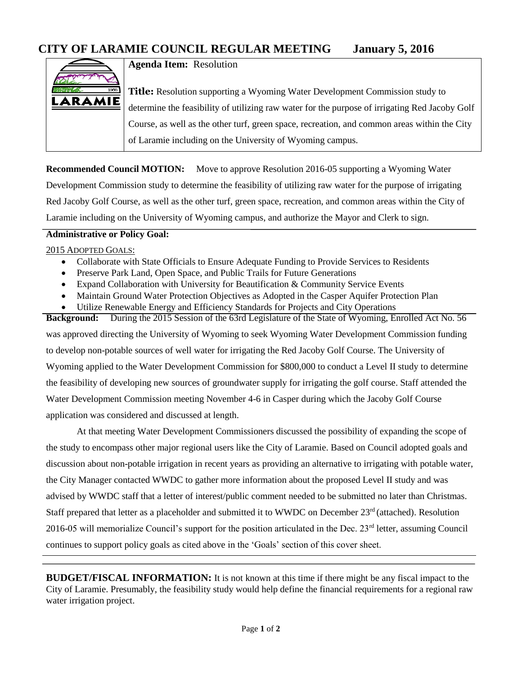

**Agenda Item:** Resolution

**Title:** Resolution supporting a Wyoming Water Development Commission study to determine the feasibility of utilizing raw water for the purpose of irrigating Red Jacoby Golf Course, as well as the other turf, green space, recreation, and common areas within the City of Laramie including on the University of Wyoming campus.

**Recommended Council MOTION:** Move to approve Resolution 2016-05 supporting a Wyoming Water Development Commission study to determine the feasibility of utilizing raw water for the purpose of irrigating Red Jacoby Golf Course, as well as the other turf, green space, recreation, and common areas within the City of Laramie including on the University of Wyoming campus, and authorize the Mayor and Clerk to sign.

## **Administrative or Policy Goal:**

## 2015 ADOPTED GOALS:

- Collaborate with State Officials to Ensure Adequate Funding to Provide Services to Residents
- Preserve Park Land, Open Space, and Public Trails for Future Generations
- Expand Collaboration with University for Beautification & Community Service Events
- Maintain Ground Water Protection Objectives as Adopted in the Casper Aquifer Protection Plan
- Utilize Renewable Energy and Efficiency Standards for Projects and City Operations

**Background:** During the 2015 Session of the 63rd Legislature of the State of Wyoming, Enrolled Act No. 56 was approved directing the University of Wyoming to seek Wyoming Water Development Commission funding to develop non-potable sources of well water for irrigating the Red Jacoby Golf Course. The University of Wyoming applied to the Water Development Commission for \$800,000 to conduct a Level II study to determine the feasibility of developing new sources of groundwater supply for irrigating the golf course. Staff attended the Water Development Commission meeting November 4-6 in Casper during which the Jacoby Golf Course application was considered and discussed at length.

At that meeting Water Development Commissioners discussed the possibility of expanding the scope of the study to encompass other major regional users like the City of Laramie. Based on Council adopted goals and discussion about non-potable irrigation in recent years as providing an alternative to irrigating with potable water, the City Manager contacted WWDC to gather more information about the proposed Level II study and was advised by WWDC staff that a letter of interest/public comment needed to be submitted no later than Christmas. Staff prepared that letter as a placeholder and submitted it to WWDC on December 23<sup>rd</sup> (attached). Resolution 2016-05 will memorialize Council's support for the position articulated in the Dec. 23rd letter, assuming Council continues to support policy goals as cited above in the 'Goals' section of this cover sheet.

**BUDGET/FISCAL INFORMATION:** It is not known at this time if there might be any fiscal impact to the City of Laramie. Presumably, the feasibility study would help define the financial requirements for a regional raw water irrigation project.